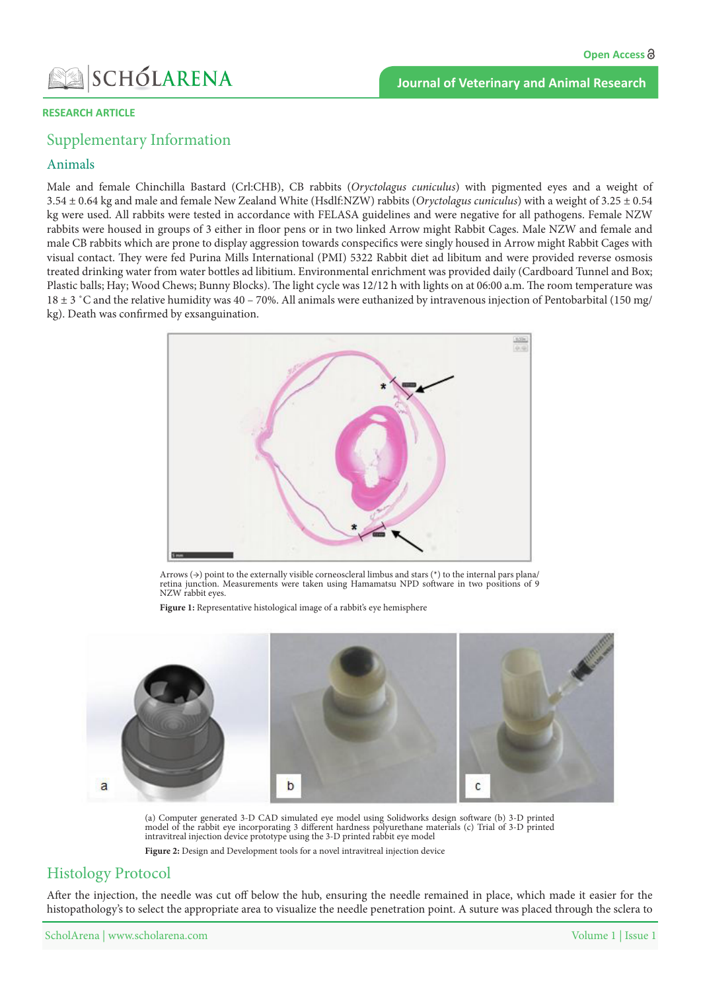### **Journal of Veterinary and Animal Research**

#### **RESEARCH ARTICLE**

## Supplementary Information

### Animals

Male and female Chinchilla Bastard (Crl:CHB), CB rabbits (Oryctolagus cuniculus) with pigmented eyes and a weight of 3.54  $\pm$  0.64 kg and male and female New Zealand White (Hsdlf:NZW) rabbits (*Oryctolagus cuniculus*) with a weight of 3.25  $\pm$  0.54 kg were used. All rabbits were tested in accordance with FELASA guidelines and were negative for all pathogens. Female NZW rabbits were housed in groups of 3 either in floor pens or in two linked Arrow might Rabbit Cages. Male NZW and female and male CB rabbits which are prone to display aggression towards conspecifics were singly housed in Arrow might Rabbit Cages with visual contact. They were fed Purina Mills International (PMI) 5322 Rabbit diet ad libitum and were provided reverse osmosis treated drinking water from water bottles ad libitium. Environmental enrichment was provided daily (Cardboard Tunnel and Box; Plastic balls; Hay; Wood Chews; Bunny Blocks). The light cycle was 12/12 h with lights on at 06:00 a.m. The room temperature was 18  $\pm$  3 °C and the relative humidity was 40 – 70%. All animals were euthanized by intravenous injection of Pentobarbital (150 mg/ kg). Death was confirmed by exsanguination.



Arrows ( $\rightarrow$ ) point to the externally visible corneoscleral limbus and stars (\*) to the internal pars plana/ retina junction. Measurements were taken using Hamamatsu NPD software in two positions of 9 NZW rabbit eyes.

Figure 1: Representative histological image of a rabbit's eye hemisphere



(a) Computer generated 3-D CAD simulated eye model using Solidworks design software (b) 3-D printed model of the rabbit eye incorporating 3 different hardness polyurethane materials (c) Trial of 3-D printed intravitreal injection device prototype using the 3-D printed rabbit eye model

Figure 2: Design and Development tools for a novel intravitreal injection device

# **Histology Protocol**

After the injection, the needle was cut off below the hub, ensuring the needle remained in place, which made it easier for the histopathology's to select the appropriate area to visualize the needle penetration point. A suture was placed through the sclera to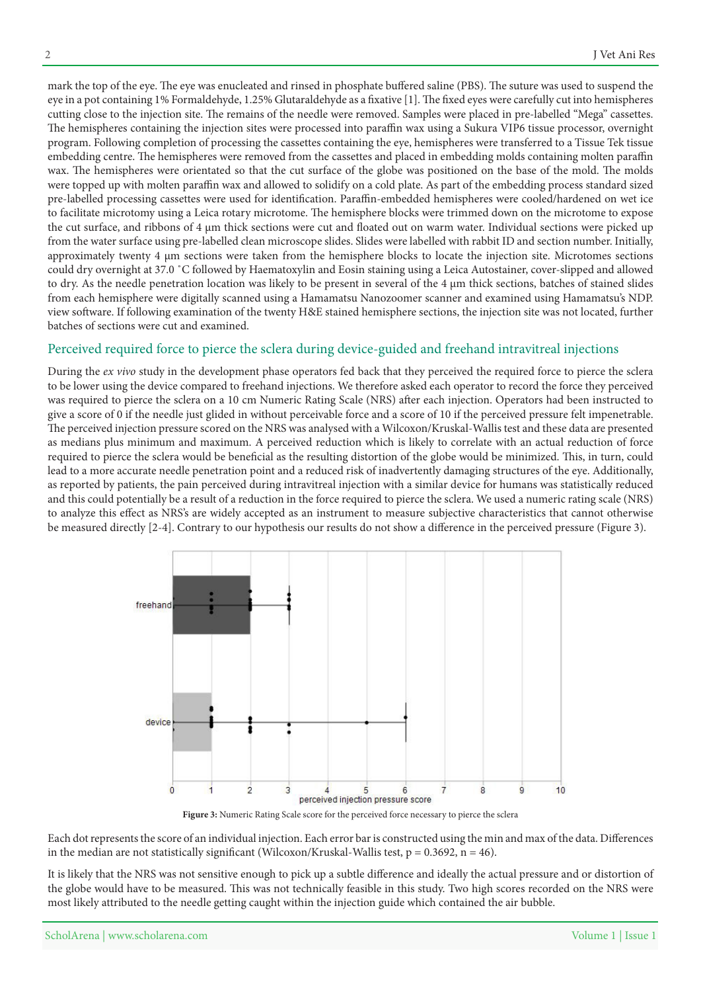mark the top of the eve. The eve was enucleated and rinsed in phosphate buffered saline (PBS). The suture was used to suspend the eye in a pot containing 1% Formaldehyde, 1.25% Glutaraldehyde as a fixative [1]. The fixed eyes were carefully cut into hemispheres cutting close to the injection site. The remains of the needle were removed. Samples were placed in pre-labelled "Mega" cassettes. The hemispheres containing the injection sites were processed into paraffin wax using a Sukura VIP6 tissue processor, overnight program. Following completion of processing the cassettes containing the eye, hemispheres were transferred to a Tissue Tek tissue embedding centre. The hemispheres were removed from the cassettes and placed in embedding molds containing molten paraffin wax. The hemispheres were orientated so that the cut surface of the globe was positioned on the base of the mold. The molds were topped up with molten paraffin wax and allowed to solidify on a cold plate. As part of the embedding process standard sized pre-labelled processing cassettes were used for identification. Paraffin-embedded hemispheres were cooled/hardened on wet ice to facilitate microtomy using a Leica rotary microtome. The hemisphere blocks were trimmed down on the microtome to expose the cut surface, and ribbons of 4  $\mu$ m thick sections were cut and floated out on warm water. Individual sections were picked up from the water surface using pre-labelled clean microscope slides. Slides were labelled with rabbit ID and section number. Initially, approximately twenty 4 µm sections were taken from the hemisphere blocks to locate the injection site. Microtomes sections could dry overnight at 37.0 °C followed by Haematoxylin and Eosin staining using a Leica Autostainer, cover-slipped and allowed to dry. As the needle penetration location was likely to be present in several of the  $4 \mu m$  thick sections, batches of stained slides from each hemisphere were digitally scanned using a Hamamatsu Nanozoomer scanner and examined using Hamamatsu's NDP. view software. If following examination of the twenty H&E stained hemisphere sections, the injection site was not located, further batches of sections were cut and examined.

### Perceived required force to pierce the sclera during device-guided and freehand intravitreal injections

During the *ex vivo* study in the development phase operators fed back that they perceived the required force to pierce the sclera to be lower using the device compared to freehand injections. We therefore asked each operator to record the force they perceived was required to pierce the sclera on a 10 cm Numeric Rating Scale (NRS) after each injection. Operators had been instructed to give a score of 0 if the needle just glided in without perceivable force and a score of 10 if the perceived pressure felt impenetrable. The perceived injection pressure scored on the NRS was analysed with a Wilcoxon/Kruskal-Wallis test and these data are presented as medians plus minimum and maximum. A perceived reduction which is likely to correlate with an actual reduction of force required to pierce the sclera would be beneficial as the resulting distortion of the globe would be minimized. This, in turn, could lead to a more accurate needle penetration point and a reduced risk of inadvertently damaging structures of the eye. Additionally, as reported by patients, the pain perceived during intravitreal injection with a similar device for humans was statistically reduced and this could potentially be a result of a reduction in the force required to pierce the sclera. We used a numeric rating scale (NRS) to analyze this effect as NRS's are widely accepted as an instrument to measure subjective characteristics that cannot otherwise be measured directly [2-4]. Contrary to our hypothesis our results do not show a difference in the perceived pressure (Figure 3).



Figure 3: Numeric Rating Scale score for the perceived force necessary to pierce the sclera

Each dot represents the score of an individual injection. Each error bar is constructed using the min and max of the data. Differences in the median are not statistically significant (Wilcoxon/Kruskal-Wallis test,  $p = 0.3692$ ,  $n = 46$ ).

It is likely that the NRS was not sensitive enough to pick up a subtle difference and ideally the actual pressure and or distortion of the globe would have to be measured. This was not technically feasible in this study. Two high scores recorded on the NRS were most likely attributed to the needle getting caught within the injection guide which contained the air bubble.